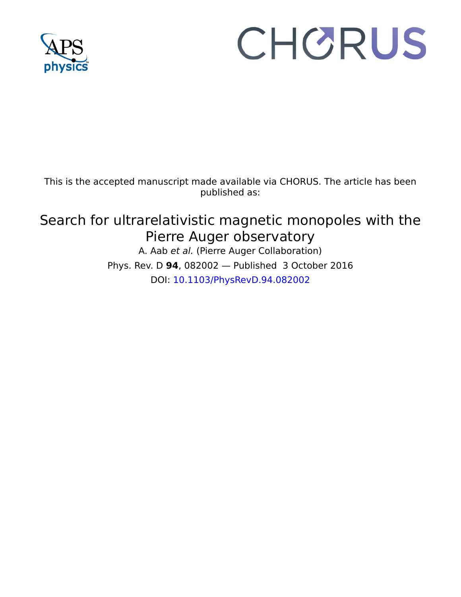

# CHORUS

This is the accepted manuscript made available via CHORUS. The article has been published as:

# Search for ultrarelativistic magnetic monopoles with the Pierre Auger observatory

A. Aab et al. (Pierre Auger Collaboration) Phys. Rev. D **94**, 082002 — Published 3 October 2016 DOI: [10.1103/PhysRevD.94.082002](http://dx.doi.org/10.1103/PhysRevD.94.082002)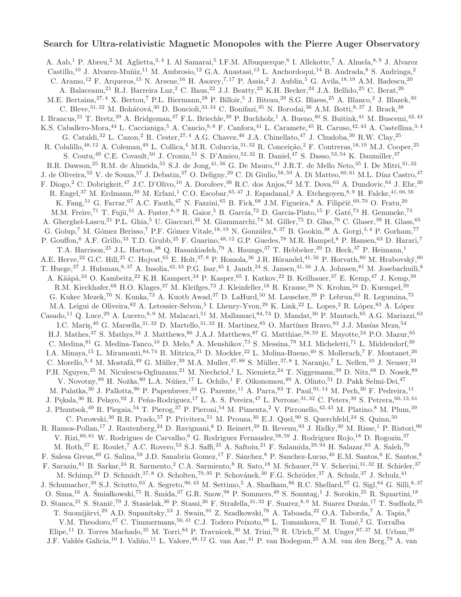# Search for Ultra-relativistic Magnetic Monopoles with the Pierre Auger Observatory

A. Aab,<sup>1</sup> P. Abreu,<sup>2</sup> M. Aglietta,<sup>3,4</sup> I. Al Samarai,<sup>5</sup> I.F.M. Albuquerque,<sup>6</sup> I. Allekotte,<sup>7</sup> A. Almela,<sup>8,9</sup> J. Alvarez Castillo,<sup>10</sup> J. Alvarez-Muñiz,<sup>11</sup> M. Ambrosio,<sup>12</sup> G.A. Anastasi,<sup>13</sup> L. Anchordoqui,<sup>14</sup> B. Andrada,<sup>8</sup> S. Andringa,<sup>2</sup> C. Aramo,<sup>12</sup> F. Arqueros,<sup>15</sup> N. Arsene,<sup>16</sup> H. Asorey,<sup>7,17</sup> P. Assis,<sup>2</sup> J. Aublin,<sup>5</sup> G. Avila,<sup>18, 19</sup> A.M. Badescu,<sup>20</sup> A. Balaceanu,<sup>21</sup> R.J. Barreira Luz,<sup>2</sup> C. Baus,<sup>22</sup> J.J. Beatty,<sup>23</sup> K.H. Becker,<sup>24</sup> J.A. Bellido,<sup>25</sup> C. Berat,<sup>26</sup> M.E. Bertaina,<sup>27, 4</sup> X. Bertou,<sup>7</sup> P.L. Biermann,<sup>28</sup> P. Billoir,<sup>5</sup> J. Biteau,<sup>29</sup> S.G. Blaess,<sup>25</sup> A. Blanco,<sup>2</sup> J. Blazek,<sup>30</sup> C. Bleve, <sup>31, 32</sup> M. Boháčová, <sup>30</sup> D. Boncioli, <sup>33, 34</sup> C. Bonifazi, <sup>35</sup> N. Borodai, <sup>36</sup> A.M. Botti, <sup>8, 37</sup> J. Brack, <sup>38</sup> I. Brancus,<sup>21</sup> T. Bretz,<sup>39</sup> A. Bridgeman,<sup>37</sup> F.L. Briechle,<sup>39</sup> P. Buchholz,<sup>1</sup> A. Bueno,<sup>40</sup> S. Buitink,<sup>41</sup> M. Buscemi,<sup>42,43</sup> K.S. Caballero-Mora,<sup>44</sup> L. Caccianiga,<sup>5</sup> A. Cancio,<sup>9,8</sup> F. Canfora,<sup>41</sup> L. Caramete,<sup>45</sup> R. Caruso,<sup>42,43</sup> A. Castellina,<sup>3,4</sup> G. Cataldi,<sup>32</sup> L. Cazon,<sup>2</sup> R. Cester,<sup>27, 4</sup> A.G. Chavez,<sup>46</sup> J.A. Chinellato,<sup>47</sup> J. Chudoba,<sup>30</sup> R.W. Clay,<sup>25</sup> R. Colalillo,<sup>48, 12</sup> A. Coleman,<sup>49</sup> L. Collica,<sup>4</sup> M.R. Coluccia,<sup>31, 32</sup> R. Conceição,<sup>2</sup> F. Contreras,<sup>18, 19</sup> M.J. Cooper,<sup>25</sup> S. Coutu,<sup>49</sup> C.E. Covault,<sup>50</sup> J. Cronin,<sup>51</sup> S. D'Amico,<sup>52, 32</sup> B. Daniel,<sup>47</sup> S. Dasso,<sup>53, 54</sup> K. Daumiller,<sup>37</sup> B.R. Dawson,<sup>25</sup> R.M. de Almeida,<sup>55</sup> S.J. de Jong,<sup>41,56</sup> G. De Mauro,<sup>41</sup> J.R.T. de Mello Neto,<sup>35</sup> I. De Mitri,<sup>31,32</sup> J. de Oliveira,<sup>55</sup> V. de Souza,<sup>57</sup> J. Debatin,<sup>37</sup> O. Deligny,<sup>29</sup> C. Di Giulio,<sup>58, 59</sup> A. Di Matteo,<sup>60, 61</sup> M.L. Díaz Castro,<sup>47</sup> F. Diogo,<sup>2</sup> C. Dobrigkeit,<sup>47</sup> J.C. D'Olivo,<sup>10</sup> A. Dorofeev,<sup>38</sup> R.C. dos Anjos,<sup>62</sup> M.T. Dova,<sup>63</sup> A. Dundovic,<sup>64</sup> J. Ebr,<sup>30</sup> R. Engel,<sup>37</sup> M. Erdmann,<sup>39</sup> M. Erfani,<sup>1</sup> C.O. Escobar,<sup>65, 47</sup> J. Espadanal,<sup>2</sup> A. Etchegoyen,<sup>8, 9</sup> H. Falcke,<sup>41, 66, 56</sup> K. Fang,<sup>51</sup> G. Farrar,<sup>67</sup> A.C. Fauth,<sup>47</sup> N. Fazzini,<sup>65</sup> B. Fick,<sup>68</sup> J.M. Figueira,<sup>8</sup> A. Filipčič,<sup>69,70</sup> O. Fratu,<sup>20</sup> M.M. Freire,<sup>71</sup> T. Fujii,<sup>51</sup> A. Fuster,<sup>8, 9</sup> R. Gaior,<sup>5</sup> B. García,<sup>72</sup> D. Garcia-Pinto,<sup>15</sup> F. Gaté,<sup>73</sup> H. Gemmeke,<sup>73</sup> A. Gherghel-Lascu,<sup>21</sup> P.L. Ghia,<sup>5</sup> U. Giaccari,<sup>35</sup> M. Giammarchi,<sup>74</sup> M. Giller,<sup>75</sup> D. Glas,<sup>76</sup> C. Glaser,<sup>39</sup> H. Glass,<sup>65</sup> G. Golup,<sup>7</sup> M. Gómez Berisso,<sup>7</sup> P.F. Gómez Vitale,<sup>18, 19</sup> N. González,<sup>8, 37</sup> B. Gookin,<sup>38</sup> A. Gorgi,<sup>3,4</sup> P. Gorham,<sup>77</sup> P. Gouffon, <sup>6</sup> A.F. Grillo, <sup>33</sup> T.D. Grubb, <sup>25</sup> F. Guarino, <sup>48, 12</sup> G.P. Guedes, <sup>78</sup> M.R. Hampel, <sup>8</sup> P. Hansen, <sup>63</sup> D. Harari, <sup>7</sup> T.A. Harrison,<sup>25</sup> J.L. Harton,<sup>38</sup> Q. Hasankiadeh,<sup>79</sup> A. Haungs,<sup>37</sup> T. Hebbeker,<sup>39</sup> D. Heck,<sup>37</sup> P. Heimann,<sup>1</sup> A.E. Herve,<sup>22</sup> G.C. Hill,<sup>25</sup> C. Hojvat,<sup>65</sup> E. Holt,<sup>37, 8</sup> P. Homola,<sup>36</sup> J.R. Hörandel,<sup>41,56</sup> P. Horvath,<sup>80</sup> M. Hrabovský,<sup>80</sup> T. Huege,<sup>37</sup> J. Hulsman,<sup>8, 37</sup> A. Insolia,<sup>42, 43</sup> P.G. Isar,<sup>45</sup> I. Jandt,<sup>24</sup> S. Jansen,<sup>41,56</sup> J.A. Johnsen,<sup>81</sup> M. Josebachuili,<sup>8</sup> A. Kääpä,<sup>24</sup> O. Kambeitz,<sup>22</sup> K.H. Kampert,<sup>24</sup> P. Kasper,<sup>65</sup> I. Katkov,<sup>22</sup> B. Keilhauer,<sup>37</sup> E. Kemp,<sup>47</sup> J. Kemp,<sup>39</sup> R.M. Kieckhafer, <sup>68</sup> H.O. Klages, <sup>37</sup> M. Kleifges, <sup>73</sup> J. Kleinfeller, <sup>18</sup> R. Krause, <sup>39</sup> N. Krohm, <sup>24</sup> D. Kuempel, <sup>39</sup> G. Kukec Mezek,<sup>70</sup> N. Kunka,<sup>73</sup> A. Kuotb Awad,<sup>37</sup> D. LaHurd,<sup>50</sup> M. Lauscher,<sup>39</sup> P. Lebrun,<sup>65</sup> R. Legumina,<sup>75</sup> M.A. Leigui de Oliveira, <sup>82</sup> A. Letessier-Selvon, <sup>5</sup> I. Lhenry-Yvon, <sup>29</sup> K. Link, <sup>22</sup> L. Lopes, <sup>2</sup> R. López, <sup>83</sup> A. López Casado,<sup>11</sup> Q. Luce,<sup>29</sup> A. Lucero,<sup>8, 9</sup> M. Malacari,<sup>51</sup> M. Mallamaci,<sup>84, 74</sup> D. Mandat,<sup>30</sup> P. Mantsch,<sup>65</sup> A.G. Mariazzi,<sup>63</sup> I.C. Maris,  $40$  G. Marsella,  $31, 32$  D. Martello,  $31, 32$  H. Martinez,  $85$  O. Martínez Bravo,  $83$  J.J. Masías Meza,  $54$ H.J. Mathes,<sup>37</sup> S. Mathys,<sup>24</sup> J. Matthews,<sup>86</sup> J.A.J. Matthews,<sup>87</sup> G. Matthiae,<sup>58,59</sup> E. Mayotte,<sup>24</sup> P.O. Mazur,<sup>65</sup> C. Medina, <sup>81</sup> G. Medina-Tanco,<sup>10</sup> D. Melo, <sup>8</sup> A. Menshikov, <sup>73</sup> S. Messina, <sup>79</sup> M.I. Micheletti, <sup>71</sup> L. Middendorf, <sup>39</sup> I.A. Minaya,<sup>15</sup> L. Miramonti,<sup>84,74</sup> B. Mitrica,<sup>21</sup> D. Mockler,<sup>22</sup> L. Molina-Bueno,<sup>40</sup> S. Mollerach,<sup>7</sup> F. Montanet,<sup>26</sup> C. Morello,  $3,4$  M. Mostafá,  $49$  G. Müller,  $39$  M.A. Muller,  $47,88$  S. Müller,  $37,8$  I. Naranjo,  $7$  L. Nellen,  $10$  J. Neuser,  $24$ P.H. Nguyen,<sup>25</sup> M. Niculescu-Oglinzanu,<sup>21</sup> M. Niechciol,<sup>1</sup> L. Niemietz,<sup>24</sup> T. Niggemann,<sup>39</sup> D. Nitz,<sup>68</sup> D. Nosek,<sup>89</sup> V. Novotny, <sup>89</sup> H. Nožka, <sup>80</sup> L.A. Núñez, <sup>17</sup> L. Ochilo, <sup>1</sup> F. Oikonomou, <sup>49</sup> A. Olinto, <sup>51</sup> D. Pakk Selmi-Dei, <sup>47</sup> M. Palatka,<sup>30</sup> J. Pallotta,<sup>90</sup> P. Papenbreer,<sup>24</sup> G. Parente,<sup>11</sup> A. Parra,<sup>83</sup> T. Paul,<sup>91,14</sup> M. Pech,<sup>30</sup> F. Pedreira,<sup>11</sup> J. Pekala,<sup>36</sup> R. Pelayo,<sup>92</sup> J. Peña-Rodriguez,<sup>17</sup> L. A. S. Pereira,<sup>47</sup> L. Perrone,<sup>31, 32</sup> C. Peters,<sup>39</sup> S. Petrera,<sup>60, 13, 61</sup> J. Phuntsok,<sup>49</sup> R. Piegaia,<sup>54</sup> T. Pierog,<sup>37</sup> P. Pieroni,<sup>54</sup> M. Pimenta,<sup>2</sup> V. Pirronello,<sup>42,43</sup> M. Platino,<sup>8</sup> M. Plum,<sup>39</sup> C. Porowski,<sup>36</sup> R.R. Prado,<sup>57</sup> P. Privitera,<sup>51</sup> M. Prouza,<sup>30</sup> E.J. Quel,<sup>90</sup> S. Querchfeld,<sup>24</sup> S. Quinn,<sup>50</sup> R. Ramos-Pollan,<sup>17</sup> J. Rautenberg,<sup>24</sup> D. Ravignani,<sup>8</sup> D. Reinert,<sup>39</sup> B. Revenu,<sup>93</sup> J. Ridky,<sup>30</sup> M. Risse,<sup>1</sup> P. Ristori,<sup>90</sup> V. Rizi,  $^{60,~61}$  W. Rodrigues de Carvalho,  $^6$  G. Rodriguez Fernandez,  $^{58,~59}$  J. Rodriguez Rojo,  $^{18}$  D. Rogozin,  $^{37}$ M. Roth,<sup>37</sup> E. Roulet,<sup>7</sup> A.C. Rovero,<sup>53</sup> S.J. Saffi,<sup>25</sup> A. Saftoiu,<sup>21</sup> F. Salamida,<sup>29, 94</sup> H. Salazar,<sup>83</sup> A. Saleh,<sup>70</sup> F. Salesa Greus,<sup>49</sup> G. Salina,<sup>59</sup> J.D. Sanabria Gomez,<sup>17</sup> F. Sánchez,<sup>8</sup> P. Sanchez-Lucas,<sup>40</sup> E.M. Santos,<sup>6</sup> E. Santos,<sup>8</sup> F. Sarazin, <sup>81</sup> B. Sarkar, <sup>24</sup> R. Sarmento, <sup>2</sup> C.A. Sarmiento, <sup>8</sup> R. Sato, <sup>18</sup> M. Schauer, <sup>24</sup> V. Scherini, <sup>31, 32</sup> H. Schieler, <sup>37</sup> M. Schimp,<sup>24</sup> D. Schmidt,<sup>37, 8</sup> O. Scholten,<sup>79, 95</sup> P. Schovánek,<sup>30</sup> F.G. Schröder,<sup>37</sup> A. Schulz,<sup>37</sup> J. Schulz,<sup>41</sup> J. Schumacher,<sup>39</sup> S.J. Sciutto,<sup>63</sup> A. Segreto,<sup>96, 43</sup> M. Settimo,<sup>5</sup> A. Shadkam,<sup>86</sup> R.C. Shellard,<sup>97</sup> G. Sigl,<sup>64</sup> G. Silli,<sup>8, 37</sup> O. Sima, <sup>16</sup> A. Śmiałkowski, <sup>75</sup> R. Šmída, <sup>37</sup> G.R. Snow, <sup>98</sup> P. Sommers, <sup>49</sup> S. Sonntag,<sup>1</sup> J. Sorokin, <sup>25</sup> R. Squartini, <sup>18</sup> D. Stanca,<sup>21</sup> S. Stanič,<sup>70</sup> J. Stasielak,<sup>36</sup> P. Stassi,<sup>26</sup> F. Strafella,<sup>31,32</sup> F. Suarez,<sup>8,9</sup> M. Suarez Durán,<sup>17</sup> T. Sudholz,<sup>25</sup> T. Suomijärvi,<sup>29</sup> A.D. Supanitsky,<sup>53</sup> J. Swain,<sup>91</sup> Z. Szadkowski,<sup>76</sup> A. Taboada,<sup>22</sup> O.A. Taborda,<sup>7</sup> A. Tapia,<sup>8</sup> V.M. Theodoro,<sup>47</sup> C. Timmermans,<sup>56,41</sup> C.J. Todero Peixoto,<sup>99</sup> L. Tomankova,<sup>37</sup> B. Tomé,<sup>2</sup> G. Torralba Elipe,<sup>11</sup> D. Torres Machado,<sup>35</sup> M. Torri,<sup>84</sup> P. Travnicek,<sup>30</sup> M. Trini,<sup>70</sup> R. Ulrich,<sup>37</sup> M. Unger,<sup>67, 37</sup> M. Urban,<sup>39</sup> J.F. Valdés Galicia,<sup>10</sup> I. Valiño,<sup>11</sup> L. Valore,<sup>48, 12</sup> G. van Aar,<sup>41</sup> P. van Bodegom,<sup>25</sup> A.M. van den Berg,<sup>79</sup> A. van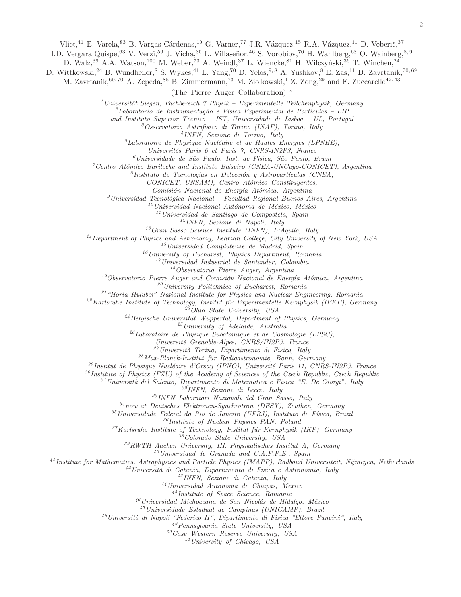Vliet,<sup>41</sup> E. Varela,<sup>83</sup> B. Vargas Cárdenas,<sup>10</sup> G. Varner,<sup>77</sup> J.R. Vázquez,<sup>15</sup> R.A. Vázquez,<sup>11</sup> D. Veberič,<sup>37</sup>

I.D. Vergara Quispe, <sup>63</sup> V. Verzi, <sup>59</sup> J. Vicha, <sup>30</sup> L. Villaseñor, <sup>46</sup> S. Vorobiov, <sup>70</sup> H. Wahlberg, <sup>63</sup> O. Wainberg, <sup>8, 9</sup>

D. Walz,<sup>39</sup> A.A. Watson,<sup>100</sup> M. Weber,<sup>73</sup> A. Weindl,<sup>37</sup> L. Wiencke,<sup>81</sup> H. Wilczyński,<sup>36</sup> T. Winchen,<sup>24</sup>

D. Wittkowski,<sup>24</sup> B. Wundheiler,<sup>8</sup> S. Wykes,<sup>41</sup> L. Yang,<sup>70</sup> D. Yelos,<sup>9,8</sup> A. Yushkov,<sup>8</sup> E. Zas,<sup>11</sup> D. Zavrtanik,<sup>70,69</sup>

M. Zavrtanik,  $69, 70$  A. Zepeda,  $85$  B. Zimmermann,  $73$  M. Ziolkowski, <sup>1</sup> Z. Zong,  $29$  and F. Zuccarello<sup>42, 43</sup>

(The Pierre Auger Collaboration), <sup>∗</sup>

Universität Siegen, Fachbereich  $7$  Physik – Experimentelle Teilchenphysik, Germany

 $^{2}$ Laboratório de Instrumentação e Física Experimental de Partículas – LIP

and Instituto Superior Técnico - IST, Universidade de Lisboa - UL, Portugal

Osservatorio Astrofisico di Torino (INAF), Torino, Italy

INFN, Sezione di Torino, Italy

 ${}^{5}$ Laboratoire de Physique Nucléaire et de Hautes Energies (LPNHE),

Universités Paris 6 et Paris 7, CNRS-IN2P3, France

 $^6$ Universidade de São Paulo, Inst. de Física, São Paulo, Brazil

 $^7$ Centro Atómico Bariloche and Instituto Balseiro (CNEA-UNCuyo-CONICET), Argentina

 ${}^8$ Instituto de Tecnologías en Detección y Astropartículas (CNEA,

CONICET, UNSAM), Centro Atómico Constituyentes,

Comisión Nacional de Energía Atómica, Argentina

 $^{9}$ Universidad Tecnológica Nacional – Facultad Regional Buenos Aires, Argentina

Universidad Nacional Autónoma de México, México

Universidad de Santiago de Compostela, Spain

INFN, Sezione di Napoli, Italy

Gran Sasso Science Institute (INFN), L'Aquila, Italy

Department of Physics and Astronomy, Lehman College, City University of New York, USA

Universidad Complutense de Madrid, Spain

University of Bucharest, Physics Department, Romania

Universidad Industrial de Santander, Colombia

Observatorio Pierre Auger, Argentina

Observatorio Pierre Auger and Comisión Nacional de Energía Atómica, Argentina

 $\prescript{20}{}{University}$  Politehnica of Bucharest, Romania

"Horia Hulubei" National Institute for Physics and Nuclear Engineering, Romania

Karlsruhe Institute of Technology, Institut für Experimentelle Kernphysik (IEKP), Germany

Ohio State University, USA

Bergische Universität Wuppertal, Department of Physics, Germany

University of Adelaide, Australia

 $^{26}$ Laboratoire de Physique Subatomique et de Cosmologie (LPSC),

Universit´e Grenoble-Alpes, CNRS/IN2P3, France

Università Torino, Dipartimento di Fisica, Italy

Max-Planck-Institut für Radioastronomie, Bonn, Germany

<sup>29</sup>Institut de Physique Nucléaire d'Orsay (IPNO), Université Paris 11, CNRS-IN2P3, France

Institute of Physics (FZU) of the Academy of Sciences of the Czech Republic, Czech Republic

Università del Salento, Dipartimento di Matematica e Fisica "E. De Giorgi", Italy

INFN, Sezione di Lecce, Italy

INFN Laboratori Nazionali del Gran Sasso, Italy

now at Deutsches Elektronen-Synchrotron (DESY), Zeuthen, Germany

Universidade Federal do Rio de Janeiro (UFRJ), Instituto de Física, Brazil

Institute of Nuclear Physics PAN, Poland

Karlsruhe Institute of Technology, Institut für Kernphysik (IKP), Germany

Colorado State University, USA

RWTH Aachen University, III. Physikalisches Institut A, Germany

Universidad de Granada and C.A.F.P.E., Spain

 $^{41}$ Institute for Mathematics, Astrophysics and Particle Physics (IMAPP), Radboud Universiteit, Nijmegen, Netherlands

 $^{42}$ Università di Catania, Dipartimento di Fisica e Astronomia, Italy

INFN, Sezione di Catania, Italy

 $^{44}$ Universidad Autónoma de Chiapas, México

Institute of Space Science, Romania

 $^{46}$ Universidad Michoacana de San Nicolás de Hidalgo, México

Universidade Estadual de Campinas (UNICAMP), Brazil

 $^{48}$ Università di Napoli "Federico II", Dipartimento di Fisica "Ettore Pancini", Italy

Pennsylvania State University, USA

Case Western Reserve University, USA

University of Chicago, USA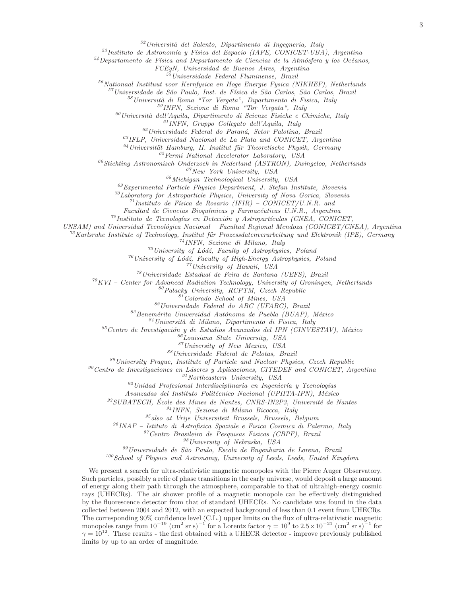$52$ Università del Salento, Dipartimento di Ingegneria, Italy

 $^{53}$ Instituto de Astronomía y Física del Espacio (IAFE, CONICET-UBA), Argentina

 $54$ Departamento de Física and Departamento de Ciencias de la Atmósfera y los Océanos,

FCEyN, Universidad de Buenos Aires, Argentina

<sup>55</sup>Universidade Federal Fluminense, Brazil

 $56$ Nationaal Instituut voor Kernfysica en Hoge Energie Fysica (NIKHEF), Netherlands

<sup>57</sup>Universidade de São Paulo, Inst. de Física de São Carlos, São Carlos, Brazil

 $58$ Università di Roma "Tor Vergata", Dipartimento di Fisica, Italy

<sup>59</sup>INFN, Sezione di Roma "Tor Vergata", Italy

 $^{60}$ Università dell'Aquila, Dipartimento di Scienze Fisiche e Chimiche, Italy

<sup>61</sup>INFN, Gruppo Collegato dell'Aquila, Italy

 $62$ Universidade Federal do Paraná, Setor Palotina, Brazil

 $^{63}$ IFLP, Universidad Nacional de La Plata and CONICET, Argentina

 $^{64}$ Universität Hamburg, II. Institut für Theoretische Physik, Germany

 $^{65}$ Fermi National Accelerator Laboratory, USA

 $^{66}$ Stichting Astronomisch Onderzoek in Nederland (ASTRON), Dwingeloo, Netherlands

 $67$ New York University, USA

 $^{68}$ Michigan Technological University, USA

 $^{69}$ Experimental Particle Physics Department, J. Stefan Institute, Slovenia

 $^{70}$ Laboratory for Astroparticle Physics, University of Nova Gorica, Slovenia

 $^{71}$ Instituto de Física de Rosario (IFIR) – CONICET/U.N.R. and

Facultad de Ciencias Bioquímicas y Farmacéuticas U.N.R., Argentina

 $^{72}$ Instituto de Tecnologías en Detección y Astropartículas (CNEA, CONICET,

UNSAM) and Universidad Tecnológica Nacional – Facultad Regional Mendoza (CONICET/CNEA), Argentina

<sup>73</sup>Karlsruhe Institute of Technology, Institut für Prozessdatenverarbeitung und Elektronik (IPE), Germany

<sup>74</sup>INFN, Sezione di Milano, Italy

 $^{75}$ University of Lódź, Faculty of Astrophysics, Poland

 $76$ University of Lódź, Faculty of High-Energy Astrophysics, Poland

<sup>77</sup>University of Hawaii, USA

<sup>78</sup>Universidade Estadual de Feira de Santana (UEFS), Brazil

 $79 KVI$  – Center for Advanced Radiation Technology, University of Groningen, Netherlands

 $80$ Palacky University, RCPTM, Czech Republic

<sup>81</sup>Colorado School of Mines, USA

<sup>82</sup>Universidade Federal do ABC (UFABC), Brazil

 $83$ Benemérita Universidad Autónoma de Puebla (BUAP), México

 $84$ Università di Milano, Dipartimento di Fisica, Italy

 $85$ Centro de Investigación y de Estudios Avanzados del IPN (CINVESTAV), México

<sup>86</sup>Louisiana State University, USA

<sup>87</sup>University of New Mexico, USA

<sup>88</sup>Universidade Federal de Pelotas, Brazil

 $89$ University Praque, Institute of Particle and Nuclear Physics, Czech Republic

 $90$ Centro de Investigaciones en Láseres y Aplicaciones, CITEDEF and CONICET, Argentina

 $\real^{91}$  Northeastern University, USA

 $92$ Unidad Profesional Interdisciplinaria en Ingeniería y Tecnologías

Avanzadas del Instituto Politécnico Nacional (UPIITA-IPN), México

 $^{93}$ SUBATECH, École des Mines de Nantes, CNRS-IN2P3, Université de Nantes

 $^{94}$ INFN, Sezione di Milano Bicocca, Italy

 $95$ also at Vrije Universiteit Brussels, Brussels, Belgium

 $^{96}$ INAF – Istituto di Astrofisica Spaziale e Fisica Cosmica di Palermo, Italy

<sup>97</sup>Centro Brasileiro de Pesquisas Fisicas (CBPF), Brazil

<sup>98</sup>University of Nebraska, USA

 $99$ Universidade de São Paulo, Escola de Engenharia de Lorena, Brazil

 $100$  School of Physics and Astronomy, University of Leeds, Leeds, United Kingdom

We present a search for ultra-relativistic magnetic monopoles with the Pierre Auger Observatory. Such particles, possibly a relic of phase transitions in the early universe, would deposit a large amount of energy along their path through the atmosphere, comparable to that of ultrahigh-energy cosmic rays (UHECRs). The air shower profile of a magnetic monopole can be effectively distinguished by the fluorescence detector from that of standard UHECRs. No candidate was found in the data collected between 2004 and 2012, with an expected background of less than 0.1 event from UHECRs. The corresponding 90% confidence level (C.L.) upper limits on the flux of ultra-relativistic magnetic monopoles range from  $10^{-19}$   $\text{(cm}^2 \text{ sr s})^{-1}$  for a Lorentz factor  $\gamma = 10^9$  to  $2.5 \times 10^{-21}$   $\text{(cm}^2 \text{ sr s})^{-1}$  for  $\gamma = 10^{12}$ . These results - the first obtained with a UHECR detector - improve previously published limits by up to an order of magnitude.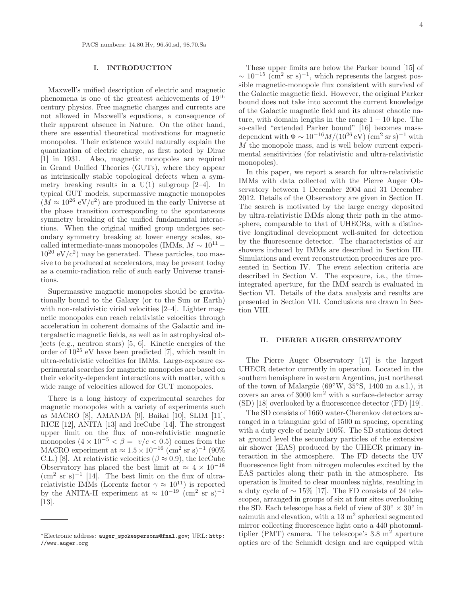### I. INTRODUCTION

Maxwell's unified description of electric and magnetic phenomena is one of the greatest achievements of 19th century physics. Free magnetic charges and currents are not allowed in Maxwell's equations, a consequence of their apparent absence in Nature. On the other hand, there are essential theoretical motivations for magnetic monopoles. Their existence would naturally explain the quantization of electric charge, as first noted by Dirac [1] in 1931. Also, magnetic monopoles are required in Grand Unified Theories (GUTs), where they appear as intrinsically stable topological defects when a symmetry breaking results in a  $U(1)$  subgroup [2–4]. In typical GUT models, supermassive magnetic monopoles  $(M \approx 10^{26} \text{ eV}/c^2)$  are produced in the early Universe at the phase transition corresponding to the spontaneous symmetry breaking of the unified fundamental interactions. When the original unified group undergoes secondary symmetry breaking at lower energy scales, socalled intermediate-mass monopoles (IMMs,  $M \sim 10^{11}$  –  $10^{20}$  eV/c<sup>2</sup>) may be generated. These particles, too massive to be produced at accelerators, may be present today as a cosmic-radiation relic of such early Universe transitions.

Supermassive magnetic monopoles should be gravitationally bound to the Galaxy (or to the Sun or Earth) with non-relativistic virial velocities  $[2-4]$ . Lighter magnetic monopoles can reach relativistic velocities through acceleration in coherent domains of the Galactic and intergalactic magnetic fields, as well as in astrophysical objects (e.g., neutron stars) [5, 6]. Kinetic energies of the order of 10<sup>25</sup> eV have been predicted [7], which result in ultra-relativistic velocities for IMMs. Large-exposure experimental searches for magnetic monopoles are based on their velocity-dependent interactions with matter, with a wide range of velocities allowed for GUT monopoles.

There is a long history of experimental searches for magnetic monopoles with a variety of experiments such as MACRO [8], AMANDA [9], Baikal [10], SLIM [11], RICE [12], ANITA [13] and IceCube [14]. The strongest upper limit on the flux of non-relativistic magnetic monopoles  $(4 \times 10^{-5} \leq \beta = v/c \leq 0.5)$  comes from the MACRO experiment at  $\approx 1.5 \times 10^{-16}$  (cm<sup>2</sup> sr s)<sup>-1</sup> (90%) C.L.) [8]. At relativistic velocities ( $\beta \approx 0.9$ ), the IceCube Observatory has placed the best limit at  $\approx 4 \times 10^{-18}$  $\text{cm}^2$  sr s)<sup>-1</sup> [14]. The best limit on the flux of ultrarelativistic IMMs (Lorentz factor  $\gamma \approx 10^{11}$ ) is reported by the ANITA-II experiment at  $\approx 10^{-19}$  (cm<sup>2</sup> sr s)<sup>-1</sup> [13].

4

These upper limits are below the Parker bound [15] of  $\sim 10^{-15}$  (cm<sup>2</sup> sr s)<sup>-1</sup>, which represents the largest possible magnetic-monopole flux consistent with survival of the Galactic magnetic field. However, the original Parker bound does not take into account the current knowledge of the Galactic magnetic field and its almost chaotic nature, with domain lengths in the range  $1 - 10$  kpc. The so-called "extended Parker bound" [16] becomes massdependent with  $\Phi \sim 10^{-16} M/(10^{26} \text{ eV}) \ (\text{cm}^2 \text{ sr s})^{-1}$  with M the monopole mass, and is well below current experimental sensitivities (for relativistic and ultra-relativistic monopoles).

In this paper, we report a search for ultra-relativistic IMMs with data collected with the Pierre Auger Observatory between 1 December 2004 and 31 December 2012. Details of the Observatory are given in Section II. The search is motivated by the large energy deposited by ultra-relativistic IMMs along their path in the atmosphere, comparable to that of UHECRs, with a distinctive longitudinal development well-suited for detection by the fluorescence detector. The characteristics of air showers induced by IMMs are described in Section III. Simulations and event reconstruction procedures are presented in Section IV. The event selection criteria are described in Section V. The exposure, i.e., the timeintegrated aperture, for the IMM search is evaluated in Section VI. Details of the data analysis and results are presented in Section VII. Conclusions are drawn in Section VIII.

### II. PIERRE AUGER OBSERVATORY

The Pierre Auger Observatory [17] is the largest UHECR detector currently in operation. Located in the southern hemisphere in western Argentina, just northeast of the town of Malargüe ( $69°W$ ,  $35°S$ , 1400 m a.s.l.), it covers an area of 3000 km<sup>2</sup> with a surface-detector array (SD) [18] overlooked by a fluorescence detector (FD) [19].

The SD consists of 1660 water-Cherenkov detectors arranged in a triangular grid of 1500 m spacing, operating with a duty cycle of nearly 100%. The SD stations detect at ground level the secondary particles of the extensive air shower (EAS) produced by the UHECR primary interaction in the atmosphere. The FD detects the UV fluorescence light from nitrogen molecules excited by the EAS particles along their path in the atmosphere. Its operation is limited to clear moonless nights, resulting in a duty cycle of  $\sim 15\%$  [17]. The FD consists of 24 telescopes, arranged in groups of six at four sites overlooking the SD. Each telescope has a field of view of  $30^{\circ} \times 30^{\circ}$  in azimuth and elevation, with a  $13 \text{ m}^2$  spherical segmented mirror collecting fluorescence light onto a 440 photomultiplier (PMT) camera. The telescope's  $3.8 \text{ m}^2$  aperture optics are of the Schmidt design and are equipped with

<sup>∗</sup>Electronic address: auger\_spokespersons@fnal.gov; URL: http: //www.auger.org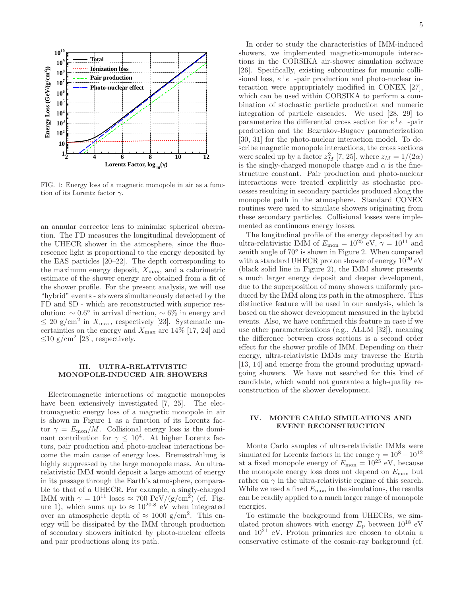

FIG. 1: Energy loss of a magnetic monopole in air as a function of its Lorentz factor  $\gamma$ .

an annular corrector lens to minimize spherical aberration. The FD measures the longitudinal development of the UHECR shower in the atmosphere, since the fluorescence light is proportional to the energy deposited by the EAS particles [20–22]. The depth corresponding to the maximum energy deposit,  $X_{\text{max}}$ , and a calorimetric estimate of the shower energy are obtained from a fit of the shower profile. For the present analysis, we will use "hybrid" events - showers simultaneously detected by the FD and SD - which are reconstructed with superior resolution:  $\sim 0.6^{\circ}$  in arrival direction,  $\sim 6\%$  in energy and  $\leq 20$  g/cm<sup>2</sup> in  $X_{\text{max}}$ , respectively [23]. Systematic uncertainties on the energy and  $X_{\text{max}}$  are 14% [17, 24] and  $\leq$ 10 g/cm<sup>2</sup> [23], respectively.

#### III. ULTRA-RELATIVISTIC MONOPOLE-INDUCED AIR SHOWERS

Electromagnetic interactions of magnetic monopoles have been extensively investigated [7, 25]. The electromagnetic energy loss of a magnetic monopole in air is shown in Figure 1 as a function of its Lorentz factor  $\gamma = E_{\text{mon}}/M$ . Collisional energy loss is the dominant contribution for  $\gamma \leq 10^4$ . At higher Lorentz factors, pair production and photo-nuclear interactions become the main cause of energy loss. Bremsstrahlung is highly suppressed by the large monopole mass. An ultrarelativistic IMM would deposit a large amount of energy in its passage through the Earth's atmosphere, comparable to that of a UHECR. For example, a singly-charged IMM with  $\gamma = 10^{11}$  loses  $\approx 700 \text{ PeV}/(\text{g}/\text{cm}^2)$  (cf. Figure 1), which sums up to  $\approx 10^{20.8}$  eV when integrated over an atmospheric depth of  $\approx 1000 \text{ g/cm}^2$ . This energy will be dissipated by the IMM through production of secondary showers initiated by photo-nuclear effects and pair productions along its path.

In order to study the characteristics of IMM-induced showers, we implemented magnetic-monopole interactions in the CORSIKA air-shower simulation software [26]. Specifically, existing subroutines for muonic collisional loss,  $e^+e^-$ -pair production and photo-nuclear interaction were appropriately modified in CONEX [27], which can be used within CORSIKA to perform a combination of stochastic particle production and numeric integration of particle cascades. We used [28, 29] to parameterize the differential cross section for  $e^+e^-$ -pair production and the Bezrukov-Bugaev parameterization [30, 31] for the photo-nuclear interaction model. To describe magnetic monopole interactions, the cross sections were scaled up by a factor  $z_M^2$  [7, 25], where  $z_M = 1/(2\alpha)$ is the singly-charged monopole charge and  $\alpha$  is the finestructure constant. Pair production and photo-nuclear interactions were treated explicitly as stochastic processes resulting in secondary particles produced along the monopole path in the atmosphere. Standard CONEX routines were used to simulate showers originating from these secondary particles. Collisional losses were implemented as continuous energy losses.

The longitudinal profile of the energy deposited by an ultra-relativistic IMM of  $E_{\text{mon}} = 10^{25}$  eV,  $\gamma = 10^{11}$  and zenith angle of 70◦ is shown in Figure 2. When compared with a standard UHECR proton shower of energy  $10^{20}$  eV (black solid line in Figure 2), the IMM shower presents a much larger energy deposit and deeper development, due to the superposition of many showers uniformly produced by the IMM along its path in the atmosphere. This distinctive feature will be used in our analysis, which is based on the shower development measured in the hybrid events. Also, we have confirmed this feature in case if we use other parameterizations (e.g., ALLM [32]), meaning the difference between cross sections is a second order effect for the shower profile of IMM. Depending on their energy, ultra-relativistic IMMs may traverse the Earth [13, 14] and emerge from the ground producing upwardgoing showers. We have not searched for this kind of candidate, which would not guarantee a high-quality reconstruction of the shower development.

### IV. MONTE CARLO SIMULATIONS AND EVENT RECONSTRUCTION

Monte Carlo samples of ultra-relativistic IMMs were simulated for Lorentz factors in the range  $\gamma = 10^8 - 10^{12}$ at a fixed monopole energy of  $E_{\text{mon}} = 10^{25}$  eV, because the monopole energy loss does not depend on  $E_{\text{mon}}$  but rather on  $\gamma$  in the ultra-relativistic regime of this search. While we used a fixed  $E_{\text{mon}}$  in the simulations, the results can be readily applied to a much larger range of monopole energies.

To estimate the background from UHECRs, we simulated proton showers with energy  $E_p$  between  $10^{18}$  eV and  $10^{21}$  eV. Proton primaries are chosen to obtain a conservative estimate of the cosmic-ray background (cf.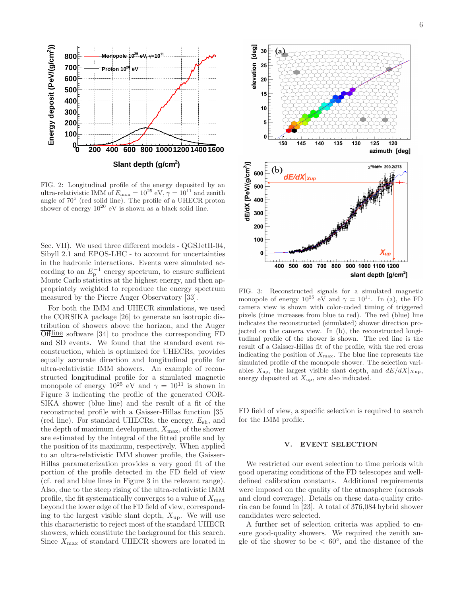

FIG. 2: Longitudinal profile of the energy deposited by an ultra-relativistic IMM of  $E_{\text{mon}} = 10^{25}$  eV,  $\gamma = 10^{11}$  and zenith angle of 70◦ (red solid line). The profile of a UHECR proton shower of energy  $10^{20}$  eV is shown as a black solid line.

Sec. VII). We used three different models - QGSJetII-04, Sibyll 2.1 and EPOS-LHC - to account for uncertainties in the hadronic interactions. Events were simulated according to an  $E_{\rm p}^{-1}$  energy spectrum, to ensure sufficient Monte Carlo statistics at the highest energy, and then appropriately weighted to reproduce the energy spectrum measured by the Pierre Auger Observatory [33].

For both the IMM and UHECR simulations, we used the CORSIKA package [26] to generate an isotropic distribution of showers above the horizon, and the Auger Offline software [34] to produce the corresponding FD and SD events. We found that the standard event reconstruction, which is optimized for UHECRs, provides equally accurate direction and longitudinal profile for ultra-relativistic IMM showers. An example of reconstructed longitudinal profile for a simulated magnetic monopole of energy  $10^{25}$  eV and  $\gamma = 10^{11}$  is shown in Figure 3 indicating the profile of the generated COR-SIKA shower (blue line) and the result of a fit of the reconstructed profile with a Gaisser-Hillas function [35] (red line). For standard UHECRs, the energy,  $E_{\rm sh}$ , and the depth of maximum development,  $X_{\text{max}}$ , of the shower are estimated by the integral of the fitted profile and by the position of its maximum, respectively. When applied to an ultra-relativistic IMM shower profile, the Gaisser-Hillas parameterization provides a very good fit of the portion of the profile detected in the FD field of view (cf. red and blue lines in Figure 3 in the relevant range). Also, due to the steep rising of the ultra-relativistic IMM profile, the fit systematically converges to a value of  $X_{\text{max}}$ beyond the lower edge of the FD field of view, corresponding to the largest visible slant depth,  $X_{\text{up}}$ . We will use this characteristic to reject most of the standard UHECR showers, which constitute the background for this search. Since  $X_{\mathrm{max}}$  of standard UHECR showers are located in



FIG. 3: Reconstructed signals for a simulated magnetic monopole of energy  $10^{25}$  eV and  $\gamma = 10^{11}$ . In (a), the FD camera view is shown with color-coded timing of triggered pixels (time increases from blue to red). The red (blue) line indicates the reconstructed (simulated) shower direction projected on the camera view. In (b), the reconstructed longitudinal profile of the shower is shown. The red line is the result of a Gaisser-Hillas fit of the profile, with the red cross indicating the position of  $X_{\text{max}}$ . The blue line represents the simulated profile of the monopole shower. The selection variables  $X_{\text{up}}$ , the largest visible slant depth, and  $dE/dX|_{X_{\text{up}}}$ , energy deposited at  $X_{\text{up}}$ , are also indicated.

FD field of view, a specific selection is required to search for the IMM profile.

### V. EVENT SELECTION

We restricted our event selection to time periods with good operating conditions of the FD telescopes and welldefined calibration constants. Additional requirements were imposed on the quality of the atmosphere (aerosols and cloud coverage). Details on these data-quality criteria can be found in [23]. A total of 376,084 hybrid shower candidates were selected.

A further set of selection criteria was applied to ensure good-quality showers. We required the zenith angle of the shower to be  $\langle 60^\circ, 60^\circ \rangle$ , and the distance of the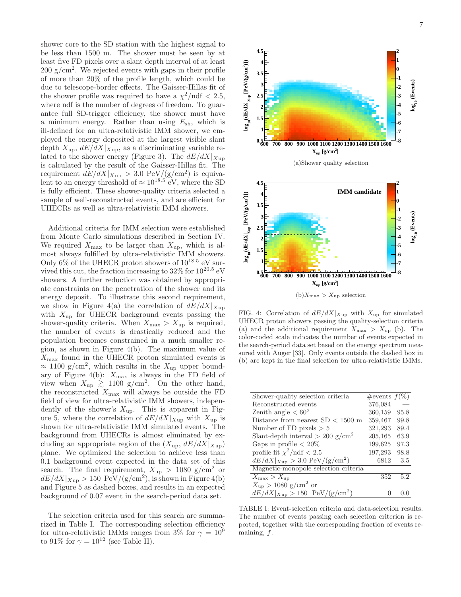shower core to the SD station with the highest signal to be less than 1500 m. The shower must be seen by at least five FD pixels over a slant depth interval of at least  $200 \text{ g/cm}^2$ . We rejected events with gaps in their profile of more than 20% of the profile length, which could be due to telescope-border effects. The Gaisser-Hillas fit of the shower profile was required to have a  $\chi^2/\text{ndf} < 2.5$ , where ndf is the number of degrees of freedom. To guarantee full SD-trigger efficiency, the shower must have a minimum energy. Rather than using  $E_{\rm sh}$ , which is ill-defined for an ultra-relativistic IMM shower, we employed the energy deposited at the largest visible slant depth  $X_{\text{up}}$ ,  $dE/dX|_{X_{\text{up}}}$ , as a discriminating variable related to the shower energy (Figure 3). The  $dE/dX|_{X_{\text{UD}}}$ is calculated by the result of the Gaisser-Hillas fit. The requirement  $dE/dX|_{Xup} > 3.0 \text{ PeV}/(\text{g/cm}^2)$  is equivalent to an energy threshold of  $\approx 10^{18.5}$  eV, where the SD is fully efficient. These shower-quality criteria selected a sample of well-reconstructed events, and are efficient for UHECRs as well as ultra-relativistic IMM showers.

Additional criteria for IMM selection were established from Monte Carlo simulations described in Section IV. We required  $X_{\text{max}}$  to be larger than  $X_{\text{un}}$ , which is almost always fulfilled by ultra-relativistic IMM showers. Only 6% of the UHECR proton showers of  $10^{18.5}$  eV survived this cut, the fraction increasing to  $32\%$  for  $10^{20.5}$  eV showers. A further reduction was obtained by appropriate constraints on the penetration of the shower and its energy deposit. To illustrate this second requirement, we show in Figure 4(a) the correlation of  $dE/dX|_{X_{\text{UD}}}$ with  $X_{\text{up}}$  for UHECR background events passing the shower-quality criteria. When  $X_{\text{max}} > X_{\text{up}}$  is required, the number of events is drastically reduced and the population becomes constrained in a much smaller region, as shown in Figure 4(b). The maximum value of  $X_{\text{max}}$  found in the UHECR proton simulated events is  $\approx 1100$  g/cm<sup>2</sup>, which results in the  $X_{up}$  upper boundary of Figure 4(b):  $X_{\text{max}}$  is always in the FD field of view when  $X_{\text{up}} \geq 1100 \text{ g/cm}^2$ . On the other hand, the reconstructed  $X_{\text{max}}$  will always be outside the FD field of view for ultra-relativistic IMM showers, independently of the shower's  $X_{\text{up}}$ . This is apparent in Figure 5, where the correlation of  $dE/dX|_{Xup}$  with  $X_{up}$  is shown for ultra-relativistic IMM simulated events. The background from UHECRs is almost eliminated by excluding an appropriate region of the  $(X_{up}, dE/dX|_{Xup})$ plane. We optimized the selection to achieve less than 0.1 background event expected in the data set of this search. The final requirement,  $X_{\text{up}} > 1080 \text{ g/cm}^2$  or  $dE/dX|_{Xup} > 150 \text{ PeV}/(g/cm^2)$ , is shown in Figure 4(b) and Figure 5 as dashed boxes, and results in an expected background of 0.07 event in the search-period data set.

The selection criteria used for this search are summarized in Table I. The corresponding selection efficiency for ultra-relativistic IMMs ranges from 3% for  $\gamma = 10^9$ to 91% for  $\gamma = 10^{12}$  (see Table II).



FIG. 4: Correlation of  $dE/dX|_{Xup}$  with  $X_{up}$  for simulated UHECR proton showers passing the quality-selection criteria (a) and the additional requirement  $X_{\text{max}} > X_{\text{up}}$  (b). The color-coded scale indicates the number of events expected in the search-period data set based on the energy spectrum measured with Auger [33]. Only events outside the dashed box in (b) are kept in the final selection for ultra-relativistic IMMs.

| Shower-quality selection criteria              | $\#$ events $f(\%)$ |      |
|------------------------------------------------|---------------------|------|
| Reconstructed events                           | 376,084             |      |
| Zenith angle $< 60^{\circ}$                    | 360,159             | 95.8 |
| Distance from nearest $SD < 1500$ m            | 359,467             | 99.8 |
| Number of FD pixels $> 5$                      | 321,293             | 89.4 |
| Slant-depth interval $> 200$ g/cm <sup>2</sup> | 205,165             | 63.9 |
| Gaps in profile $< 20\%$                       | 199,625             | 97.3 |
| profile fit $\chi^2/\text{ndf} < 2.5$          | 197,293             | 98.8 |
| $dE/dX _{Xup} > 3.0 \text{ PeV}/(g/cm^2)$      | 6812                | 3.5  |
| Magnetic-monopole selection criteria           |                     |      |
| $X_{\max} > X_{\text{up}}$                     | 352                 | 5.2  |
| $X_{\rm up} > 1080 \text{ g/cm}^2 \text{ or}$  |                     |      |
| $dE/dX _{Xup} > 150 \text{ PeV}/(g/cm^2)$      |                     |      |

TABLE I: Event-selection criteria and data-selection results. The number of events passing each selection criterion is reported, together with the corresponding fraction of events remaining,  $f$ .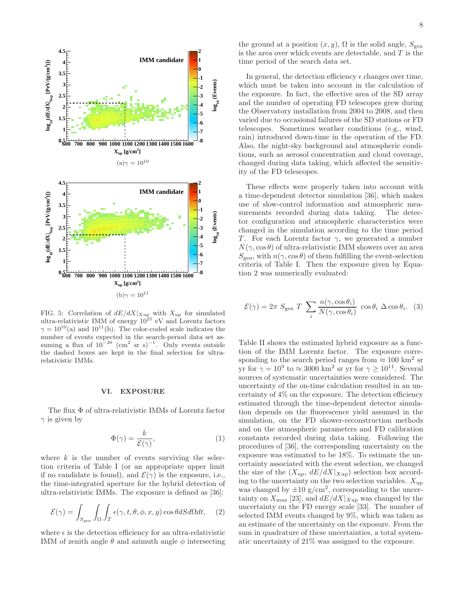

FIG. 5: Correlation of  $dE/dX|_{Xup}$  with  $X_{up}$  for simulated ultra-relativistic IMM of energy  $10^{25}$  eV and Lorentz factors  $\gamma = 10^{10}$ (a) and  $10^{11}$ (b). The color-coded scale indicates the number of events expected in the search-period data set assuming a flux of  $10^{-20}$  (cm<sup>2</sup> sr s)<sup>-1</sup>. Only events outside the dashed boxes are kept in the final selection for ultrarelativistic IMMs.

#### VI. EXPOSURE

The flux Φ of ultra-relativistic IMMs of Lorentz factor  $\gamma$  is given by

$$
\Phi(\gamma) = \frac{k}{\mathcal{E}(\gamma)},\tag{1}
$$

where  $k$  is the number of events surviving the selection criteria of Table I (or an appropriate upper limit if no candidate is found), and  $\mathcal{E}(\gamma)$  is the exposure, i.e., the time-integrated aperture for the hybrid detection of ultra-relativistic IMMs. The exposure is defined as [36]:

$$
\mathcal{E}(\gamma) = \int_{S_{\text{gen}}} \int_{\Omega} \int_{T} \epsilon(\gamma, t, \theta, \phi, x, y) \cos \theta dS d\Omega dt, \quad (2)
$$

where  $\epsilon$  is the detection efficiency for an ultra-relativistic IMM of zenith angle  $\theta$  and azimuth angle  $\phi$  intersecting

the ground at a position  $(x, y)$ ,  $\Omega$  is the solid angle,  $S_{\text{gen}}$ is the area over which events are detectable, and  $T$  is the time period of the search data set.

In general, the detection efficiency  $\epsilon$  changes over time, which must be taken into account in the calculation of the exposure. In fact, the effective area of the SD array and the number of operating FD telescopes grew during the Observatory installation from 2004 to 2008, and then varied due to occasional failures of the SD stations or FD telescopes. Sometimes weather conditions (e.g., wind, rain) introduced down-time in the operation of the FD. Also, the night-sky background and atmospheric conditions, such as aerosol concentration and cloud coverage, changed during data taking, which affected the sensitivity of the FD telescopes.

These effects were properly taken into account with a time-dependent detector simulation [36], which makes use of slow-control information and atmospheric measurements recorded during data taking. The detector configuration and atmospheric characteristics were changed in the simulation according to the time period T. For each Lorentz factor  $\gamma$ , we generated a number  $N(\gamma, \cos \theta)$  of ultra-relativistic IMM showers over an area  $S_{\text{gen}}$ , with  $n(\gamma, \cos \theta)$  of them fulfilling the event-selection criteria of Table I. Then the exposure given by Equation 2 was numerically evaluated:

$$
\mathcal{E}(\gamma) = 2\pi \ S_{\text{gen}} \ T \ \sum_{i} \frac{n(\gamma, \cos \theta_i)}{N(\gamma, \cos \theta_i)} \ \cos \theta_i \ \Delta \cos \theta_i. \tag{3}
$$

Table II shows the estimated hybrid exposure as a function of the IMM Lorentz factor. The exposure corresponding to the search period ranges from  $\approx 100 \text{ km}^2 \text{ sr}$ yr for  $\gamma = 10^9$  to  $\approx 3000 \text{ km}^2 \text{ sr}$  yr for  $\gamma \ge 10^{11}$ . Several sources of systematic uncertainties were considered. The uncertainty of the on-time calculation resulted in an uncertainty of 4% on the exposure. The detection efficiency estimated through the time-dependent detector simulation depends on the fluorescence yield assumed in the simulation, on the FD shower-reconstruction methods and on the atmospheric parameters and FD calibration constants recorded during data taking. Following the procedures of [36], the corresponding uncertainty on the exposure was estimated to be 18%. To estimate the uncertainty associated with the event selection, we changed the size of the  $(X_{\text{up}}, dE/dX|_{X_{\text{up}}})$  selection box according to the uncertainty on the two selection variables.  $X_{\text{up}}$ was changed by  $\pm 10$  g/cm<sup>2</sup>, corresponding to the uncertainty on  $X_{\text{max}}$  [23], and  $dE/dX|_{X_{\text{up}}}$  was changed by the uncertainty on the FD energy scale [33]. The number of selected IMM events changed by 9%, which was taken as an estimate of the uncertainty on the exposure. From the sum in quadrature of these uncertainties, a total systematic uncertainty of 21% was assigned to the exposure.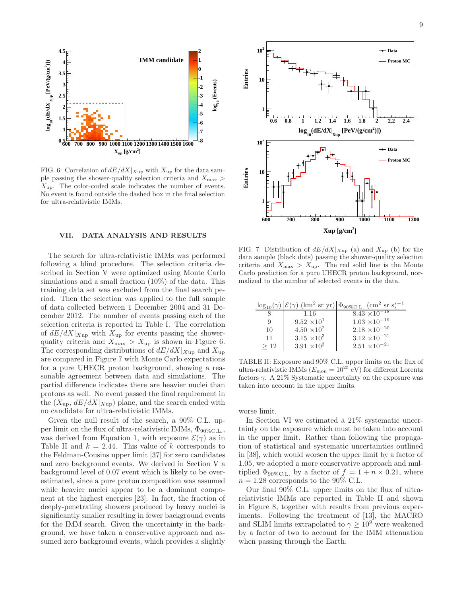

FIG. 6: Correlation of  $dE/dX|_{Xup}$  with  $X_{up}$  for the data sample passing the shower-quality selection criteria and  $X_{\text{max}}$  $X_{\text{up}}$ . The color-coded scale indicates the number of events. No event is found outside the dashed box in the final selection for ultra-relativistic IMMs.

## VII. DATA ANALYSIS AND RESULTS

The search for ultra-relativistic IMMs was performed following a blind procedure. The selection criteria described in Section V were optimized using Monte Carlo simulations and a small fraction (10%) of the data. This training data set was excluded from the final search period. Then the selection was applied to the full sample of data collected between 1 December 2004 and 31 December 2012. The number of events passing each of the selection criteria is reported in Table I. The correlation of  $dE/dX|_{Xup}$  with  $X_{up}$  for events passing the showerquality criteria and  $X_{\text{max}} > X_{\text{up}}$  is shown in Figure 6. The corresponding distributions of  $dE/dX|_{Xup}$  and  $X_{up}$ are compared in Figure 7 with Monte Carlo expectations for a pure UHECR proton background, showing a reasonable agreement between data and simulations. The partial difference indicates there are heavier nuclei than protons as well. No event passed the final requirement in the  $(X_{\text{up}}, dE/dX|_{X_{\text{up}}})$  plane, and the search ended with no candidate for ultra-relativistic IMMs.

Given the null result of the search, a 90% C.L. upper limit on the flux of ultra-relativistic IMMs,  $\Phi_{90\% \text{C.L.}}$ , was derived from Equation 1, with exposure  $\mathcal{E}(\gamma)$  as in Table II and  $k = 2.44$ . This value of k corresponds to the Feldman-Cousins upper limit [37] for zero candidates and zero background events. We derived in Section V a background level of 0.07 event which is likely to be overestimated, since a pure proton composition was assumed while heavier nuclei appear to be a dominant component at the highest energies [23]. In fact, the fraction of deeply-penetrating showers produced by heavy nuclei is significantly smaller resulting in fewer background events for the IMM search. Given the uncertainty in the background, we have taken a conservative approach and assumed zero background events, which provides a slightly



FIG. 7: Distribution of  $dE/dX|_{Xup}$  (a) and  $X_{up}$  (b) for the data sample (black dots) passing the shower-quality selection criteria and  $X_{\text{max}} > X_{\text{up}}$ . The red solid line is the Monte Carlo prediction for a pure UHECR proton background, normalized to the number of selected events in the data.

|     |                      | $\log_{10}(\gamma)$ $\mathcal{E}(\gamma)$ (km <sup>2</sup> sr yr) $\Phi_{90\%C.L.}$ (cm <sup>2</sup> sr s) <sup>-1</sup> |
|-----|----------------------|--------------------------------------------------------------------------------------------------------------------------|
|     | 1.16                 | 8.43 $\times 10^{-18}$                                                                                                   |
|     | $9.52 \times 10^{1}$ | $1.03 \times 10^{-19}$                                                                                                   |
| 10  | $4.50 \times 10^{2}$ | $2.18 \times 10^{-20}$                                                                                                   |
| 11  | $3.15 \times 10^{3}$ | $3.12 \times 10^{-21}$                                                                                                   |
| >12 | $3.91 \times 10^{3}$ | $2.51 \times 10^{-21}$                                                                                                   |

TABLE II: Exposure and 90% C.L. upper limits on the flux of ultra-relativistic IMMs ( $E_{\text{mon}} = 10^{25}$  eV) for different Lorentz factors  $\gamma$ . A 21% Systematic uncertainty on the exposure was taken into account in the upper limits.

worse limit.

In Section VI we estimated a 21% systematic uncertainty on the exposure which must be taken into account in the upper limit. Rather than following the propagation of statistical and systematic uncertainties outlined in [38], which would worsen the upper limit by a factor of 1.05, we adopted a more conservative approach and multiplied  $\Phi_{90\% \text{C.L.}}$  by a factor of  $f = 1 + n \times 0.21$ , where  $n = 1.28$  corresponds to the 90% C.L.

Our final 90% C.L. upper limits on the flux of ultrarelativistic IMMs are reported in Table II and shown in Figure 8, together with results from previous experiments. Following the treatment of [13], the MACRO and SLIM limits extrapolated to  $\gamma \geq 10^9$  were weakened by a factor of two to account for the IMM attenuation when passing through the Earth.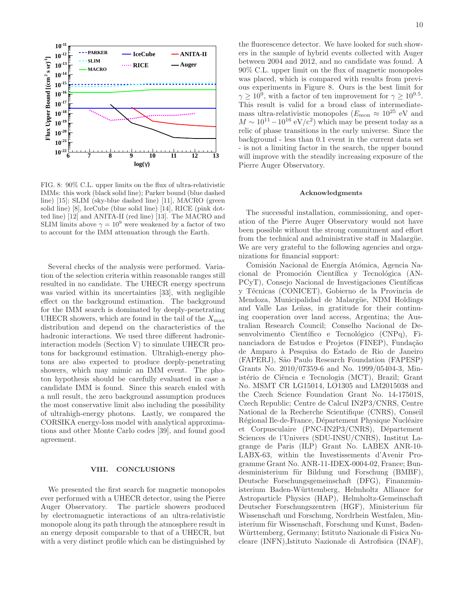

FIG. 8: 90% C.L. upper limits on the flux of ultra-relativistic IMMs: this work (black solid line); Parker bound (blue dashed line) [15]; SLIM (sky-blue dashed line) [11], MACRO (green solid line) [8], IceCube (blue solid line) [14], RICE (pink dotted line) [12] and ANITA-II (red line) [13]. The MACRO and SLIM limits above  $\gamma = 10^9$  were weakened by a factor of two to account for the IMM attenuation through the Earth.

Several checks of the analysis were performed. Variation of the selection criteria within reasonable ranges still resulted in no candidate. The UHECR energy spectrum was varied within its uncertainties [33], with negligible effect on the background estimation. The background for the IMM search is dominated by deeply-penetrating UHECR showers, which are found in the tail of the  $X_{\rm max}$ distribution and depend on the characteristics of the hadronic interactions. We used three different hadronicinteraction models (Section V) to simulate UHECR protons for background estimation. Ultrahigh-energy photons are also expected to produce deeply-penetrating showers, which may mimic an IMM event. The photon hypothesis should be carefully evaluated in case a candidate IMM is found. Since this search ended with a null result, the zero background assumption produces the most conservative limit also including the possibility of ultrahigh-energy photons. Lastly, we compared the CORSIKA energy-loss model with analytical approximations and other Monte Carlo codes [39], and found good agreement.

#### VIII. CONCLUSIONS

We presented the first search for magnetic monopoles ever performed with a UHECR detector, using the Pierre Auger Observatory. The particle showers produced by electromagnetic interactions of an ultra-relativistic monopole along its path through the atmosphere result in an energy deposit comparable to that of a UHECR, but with a very distinct profile which can be distinguished by

the fluorescence detector. We have looked for such showers in the sample of hybrid events collected with Auger between 2004 and 2012, and no candidate was found. A 90% C.L. upper limit on the flux of magnetic monopoles was placed, which is compared with results from previous experiments in Figure 8. Ours is the best limit for  $\gamma \geq 10^9$ , with a factor of ten improvement for  $\gamma \geq 10^{9.5}$ . This result is valid for a broad class of intermediatemass ultra-relativistic monopoles ( $E_{\text{mon}} \approx 10^{25}$  eV and  $M \sim 10^{11} - 10^{16} \text{ eV}/c^2$  which may be present today as a relic of phase transitions in the early universe. Since the background - less than 0.1 event in the current data set - is not a limiting factor in the search, the upper bound will improve with the steadily increasing exposure of the Pierre Auger Observatory.

#### Acknowledgments

The successful installation, commissioning, and operation of the Pierre Auger Observatory would not have been possible without the strong commitment and effort from the technical and administrative staff in Malargüe. We are very grateful to the following agencies and organizations for financial support:

Comisión Nacional de Energía Atómica, Agencia Nacional de Promoción Científica y Tecnológica (AN-PCyT), Consejo Nacional de Investigaciones Científicas y Técnicas (CONICET), Gobierno de la Provincia de Mendoza, Municipalidad de Malargüe, NDM Holdings and Valle Las Leñas, in gratitude for their continuing cooperation over land access, Argentina; the Australian Research Council; Conselho Nacional de Desenvolvimento Científico e Tecnológico (CNPq), Financiadora de Estudos e Projetos (FINEP), Fundação de Amparo `a Pesquisa do Estado de Rio de Janeiro (FAPERJ), São Paulo Research Foundation (FAPESP) Grants No. 2010/07359-6 and No. 1999/05404-3, Ministério de Ciência e Tecnologia (MCT), Brazil; Grant No. MSMT CR LG15014, LO1305 and LM2015038 and the Czech Science Foundation Grant No. 14-17501S, Czech Republic; Centre de Calcul IN2P3/CNRS, Centre National de la Recherche Scientifique (CNRS), Conseil Régional Ile-de-France, Département Physique Nucléaire et Corpusculaire (PNC-IN2P3/CNRS), Département Sciences de l'Univers (SDU-INSU/CNRS), Institut Lagrange de Paris (ILP) Grant No. LABEX ANR-10- LABX-63, within the Investissements d'Avenir Programme Grant No. ANR-11-IDEX-0004-02, France; Bundesministerium für Bildung und Forschung (BMBF), Deutsche Forschungsgemeinschaft (DFG), Finanzministerium Baden-Württemberg, Helmholtz Alliance for Astroparticle Physics (HAP), Helmholtz-Gemeinschaft Deutscher Forschungszentren (HGF), Ministerium für Wissenschaft und Forschung, Nordrhein Westfalen, Ministerium für Wissenschaft, Forschung und Kunst, Baden-Württemberg, Germany; Istituto Nazionale di Fisica Nucleare (INFN),Istituto Nazionale di Astrofisica (INAF),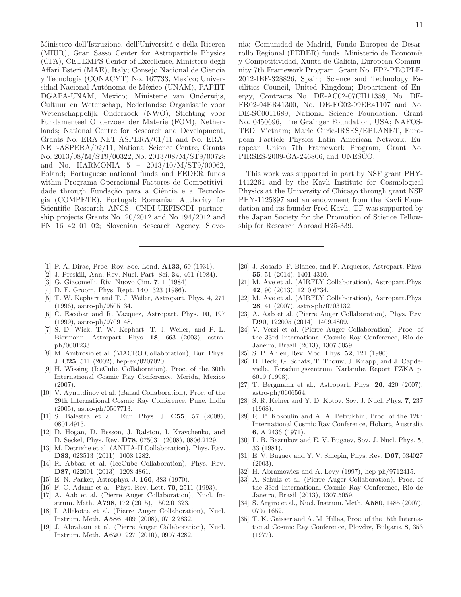Ministero dell'Istruzione, dell'Università e della Ricerca (MIUR), Gran Sasso Center for Astroparticle Physics (CFA), CETEMPS Center of Excellence, Ministero degli Affari Esteri (MAE), Italy; Consejo Nacional de Ciencia y Tecnología (CONACYT) No. 167733, Mexico; Universidad Nacional Autónoma de México (UNAM), PAPIIT DGAPA-UNAM, Mexico; Ministerie van Onderwijs, Cultuur en Wetenschap, Nederlandse Organisatie voor Wetenschappelijk Onderzoek (NWO), Stichting voor Fundamenteel Onderzoek der Materie (FOM), Netherlands; National Centre for Research and Development, Grants No. ERA-NET-ASPERA/01/11 and No. ERA-NET-ASPERA/02/11, National Science Centre, Grants No. 2013/08/M/ST9/00322, No. 2013/08/M/ST9/00728 and No. HARMONIA 5 – 2013/10/M/ST9/00062, Poland; Portuguese national funds and FEDER funds within Programa Operacional Factores de Competitividade through Fundação para a Ciência e a Tecnologia (COMPETE), Portugal; Romanian Authority for Scientific Research ANCS, CNDI-UEFISCDI partnership projects Grants No. 20/2012 and No.194/2012 and PN 16 42 01 02; Slovenian Research Agency, Slove-

- [1] P. A. Dirac, Proc. Roy. Soc. Lond. **A133**, 60 (1931).
- [2] J. Preskill, Ann. Rev. Nucl. Part. Sci. 34, 461 (1984).
- [3] G. Giacomelli, Riv. Nuovo Cim. 7, 1 (1984).
- [4] D. E. Groom, Phys. Rept. **140**, 323 (1986).
- [5] T. W. Kephart and T. J. Weiler, Astropart. Phys. 4, 271 (1996), astro-ph/9505134.
- [6] C. Escobar and R. Vazquez, Astropart. Phys. 10, 197 (1999), astro-ph/9709148.
- [7] S. D. Wick, T. W. Kephart, T. J. Weiler, and P. L. Biermann, Astropart. Phys. 18, 663 (2003), astroph/0001233.
- [8] M. Ambrosio et al. (MACRO Collaboration), Eur. Phys. J. C25, 511 (2002), hep-ex/0207020.
- [9] H. Wissing (IceCube Collaboration), Proc. of the 30th International Cosmic Ray Conference, Merida, Mexico (2007).
- [10] V. Aynutdinov et al. (Baikal Collaboration), Proc. of the 29th International Cosmic Ray Conference, Pune, India (2005), astro-ph/0507713.
- [11] S. Balestra et al., Eur. Phys. J. **C55**, 57 (2008), 0801.4913.
- [12] D. Hogan, D. Besson, J. Ralston, I. Kravchenko, and D. Seckel, Phys. Rev. D78, 075031 (2008), 0806.2129.
- [13] M. Detrixhe et al. (ANITA-II Collaboration), Phys. Rev. D83, 023513 (2011), 1008.1282.
- [14] R. Abbasi et al. (IceCube Collaboration), Phys. Rev. D87, 022001 (2013), 1208.4861.
- [15] E. N. Parker, Astrophys. J. 160, 383 (1970).
- [16] F. C. Adams et al., Phys. Rev. Lett. **70**, 2511 (1993).
- [17] A. Aab et al. (Pierre Auger Collaboration), Nucl. Instrum. Meth. A798, 172 (2015), 1502.01323.
- [18] I. Allekotte et al. (Pierre Auger Collaboration), Nucl. Instrum. Meth. A586, 409 (2008), 0712.2832.
- [19] J. Abraham et al. (Pierre Auger Collaboration), Nucl. Instrum. Meth. A620, 227 (2010), 0907.4282.

nia; Comunidad de Madrid, Fondo Europeo de Desarrollo Regional (FEDER) funds, Ministerio de Economía y Competitividad, Xunta de Galicia, European Community 7th Framework Program, Grant No. FP7-PEOPLE-2012-IEF-328826, Spain; Science and Technology Facilities Council, United Kingdom; Department of Energy, Contracts No. DE-AC02-07CH11359, No. DE-FR02-04ER41300, No. DE-FG02-99ER41107 and No. DE-SC0011689, National Science Foundation, Grant No. 0450696, The Grainger Foundation, USA; NAFOS-TED, Vietnam; Marie Curie-IRSES/EPLANET, European Particle Physics Latin American Network, European Union 7th Framework Program, Grant No. PIRSES-2009-GA-246806; and UNESCO.

This work was supported in part by NSF grant PHY-1412261 and by the Kavli Institute for Cosmological Physics at the University of Chicago through grant NSF PHY-1125897 and an endowment from the Kavli Foundation and its founder Fred Kavli. TF was supported by the Japan Society for the Promotion of Science Fellowship for Research Abroad H25-339.

- [20] J. Rosado, F. Blanco, and F. Arqueros, Astropart. Phys. 55, 51 (2014), 1401.4310.
- [21] M. Ave et al. (AIRFLY Collaboration), Astropart.Phys. 42, 90 (2013), 1210.6734.
- [22] M. Ave et al. (AIRFLY Collaboration), Astropart.Phys. 28, 41 (2007), astro-ph/0703132.
- [23] A. Aab et al. (Pierre Auger Collaboration), Phys. Rev. D90, 122005 (2014), 1409.4809.
- [24] V. Verzi et al. (Pierre Auger Collaboration), Proc. of the 33rd International Cosmic Ray Conference, Rio de Janeiro, Brazil (2013), 1307.5059.
- [25] S. P. Ahlen, Rev. Mod. Phys. **52**, 121 (1980).
- [26] D. Heck, G. Schatz, T. Thouw, J. Knapp, and J. Capdevielle, Forschungszentrum Karlsruhe Report FZKA p. 6019 (1998).
- [27] T. Bergmann et al., Astropart. Phys. 26, 420 (2007), astro-ph/0606564.
- [28] S. R. Kelner and Y. D. Kotov, Sov. J. Nucl. Phys. 7, 237 (1968).
- [29] R. P. Kokoulin and A. A. Petrukhin, Proc. of the 12th International Cosmic Ray Conference, Hobart, Australia 6, A 2436 (1971).
- [30] L. B. Bezrukov and E. V. Bugaev, Sov. J. Nucl. Phys. 5, 33 (1981).
- [31] E. V. Bugaev and Y. V. Shlepin, Phys. Rev. D67, 034027 (2003).
- [32] H. Abramowicz and A. Levy (1997), hep-ph/9712415.
- [33] A. Schulz et al. (Pierre Auger Collaboration), Proc. of the 33rd International Cosmic Ray Conference, Rio de Janeiro, Brazil (2013), 1307.5059.
- [34] S. Argiro et al., Nucl. Instrum. Meth. **A580**, 1485 (2007), 0707.1652.
- [35] T. K. Gaisser and A. M. Hillas, Proc. of the 15th International Cosmic Ray Conference, Plovdiv, Bulgaria 8, 353 (1977).